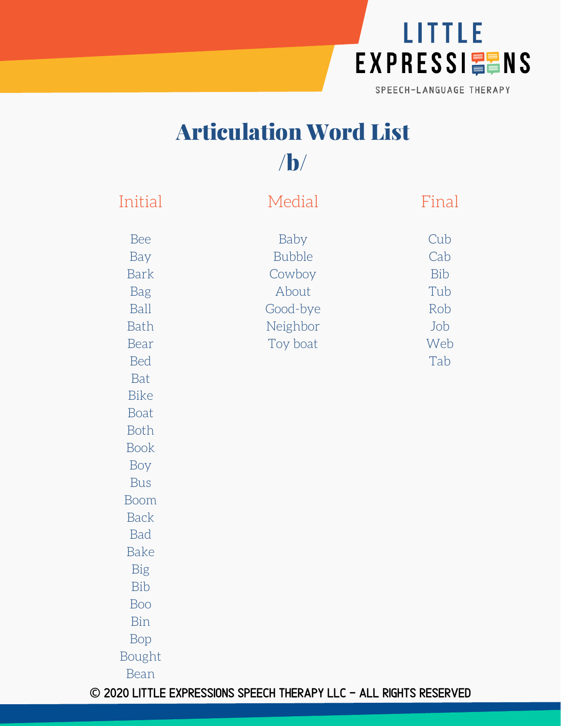

## Articulation Word List /b/

| Initial                                                                                                                                                                                                                   | Medial                                                                       | Final                                                |
|---------------------------------------------------------------------------------------------------------------------------------------------------------------------------------------------------------------------------|------------------------------------------------------------------------------|------------------------------------------------------|
| Bee<br>Bay<br><b>Bark</b><br><b>Bag</b><br>Ball<br>Bath<br>Bear<br><b>Bed</b><br>Bat<br><b>Bike</b><br><b>Boat</b><br><b>Both</b><br><b>Book</b><br>Boy<br><b>Bus</b><br><b>Boom</b><br><b>Back</b><br>Bad<br><b>Bake</b> | Baby<br><b>Bubble</b><br>Cowboy<br>About<br>Good-bye<br>Neighbor<br>Toy boat | Cub<br>Cab<br>Bib<br>Tub<br>Rob<br>Job<br>Web<br>Tab |
| Big                                                                                                                                                                                                                       |                                                                              |                                                      |
| Bib<br>Boo                                                                                                                                                                                                                |                                                                              |                                                      |
| Bin<br>Bop                                                                                                                                                                                                                |                                                                              |                                                      |
| Bought<br><b>Bean</b>                                                                                                                                                                                                     |                                                                              |                                                      |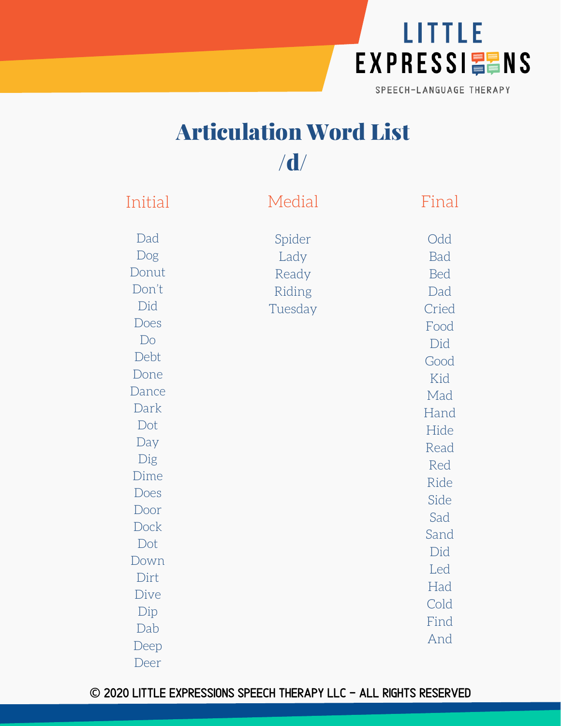

## Articulation Word List /d/

| Initial                                                                                                                                                                       | Medial                                       | Final                                                                                                                                                                    |
|-------------------------------------------------------------------------------------------------------------------------------------------------------------------------------|----------------------------------------------|--------------------------------------------------------------------------------------------------------------------------------------------------------------------------|
| Dad<br>Dog<br>Donut<br>Don't<br>Did<br>Does<br>Do<br>Debt<br>Done<br>Dance<br>Dark<br>Dot<br>Day<br>Dig<br>Dime<br>Does<br>Door<br>Dock<br>Dot<br>Down<br>Dirt<br>Dive<br>Dip | Spider<br>Lady<br>Ready<br>Riding<br>Tuesday | Odd<br>Bad<br><b>Bed</b><br>Dad<br>Cried<br>Food<br>Did<br>Good<br>Kid<br>Mad<br>Hand<br>Hide<br>Read<br>Red<br>Ride<br>Side<br>Sad<br>Sand<br>Did<br>Led<br>Had<br>Cold |
| Dab<br>Deep                                                                                                                                                                   |                                              | Find<br>And                                                                                                                                                              |
| Deer                                                                                                                                                                          |                                              |                                                                                                                                                                          |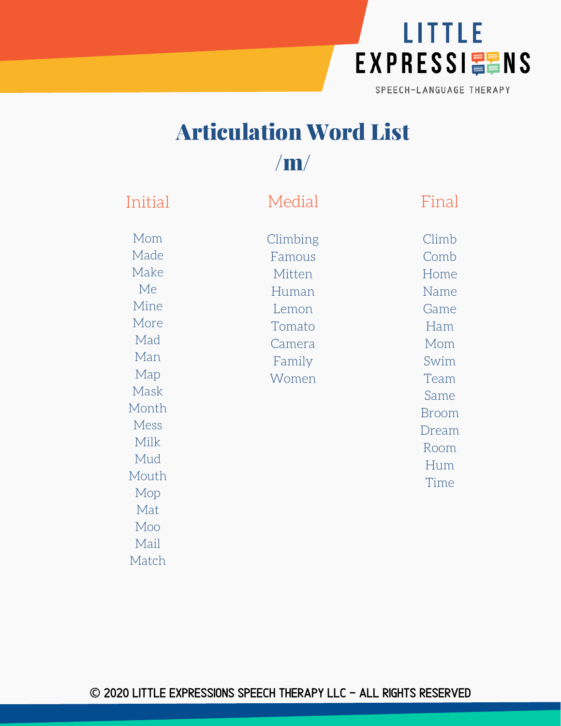

## Articulation Word List /m/

Initial Mom Made Make Me Mine More Mad Man Map Mask Month Mess Milk Mud Mouth Mop Mat Moo Mail Match Medial Climbing Famous Mitten Human Lemon Tomato Camera Family Women Final Climb Comb Home Name Game Ham Mom Swim Team Same Broom Dream Room Hum Time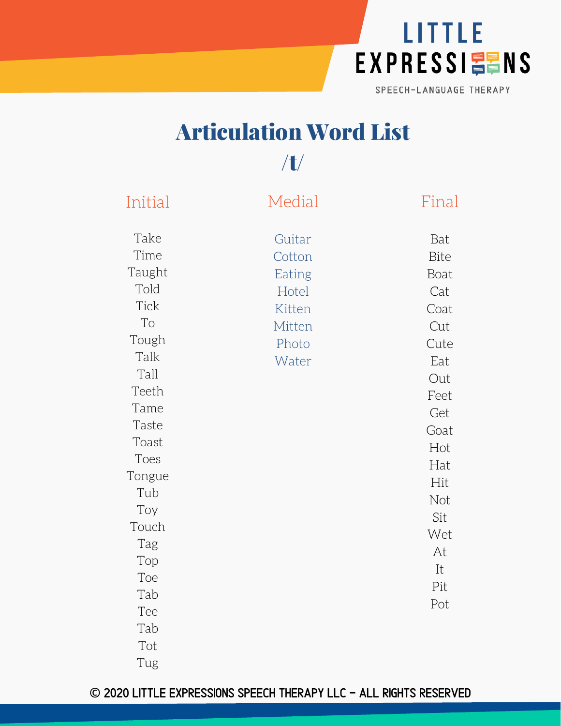

# Articulation Word List

## /t/

| Initial     | Medial | Final |
|-------------|--------|-------|
| Take        | Guitar | Bat   |
| Time        | Cotton | Bite  |
| Taught      | Eating | Boat  |
| Told        | Hotel  | Cat   |
| <b>Tick</b> | Kitten | Coat  |
| To          | Mitten | Cut   |
| Tough       | Photo  | Cute  |
| Talk        | Water  | Eat   |
| Tall        |        | Out   |
| Teeth       |        | Feet  |
| Tame        |        | Get   |
| Taste       |        | Goat  |
| Toast       |        | Hot   |
| Toes        |        | Hat   |
| Tongue      |        | Hit   |
| Tub         |        | Not   |
| Toy         |        | Sit   |
| Touch       |        | Wet   |
| Tag         |        | At    |
| Top         |        | It    |
| Toe         |        | Pit   |
| Tab         |        | Pot   |
| Tee         |        |       |
| Tab         |        |       |
| Tot         |        |       |
| Tug         |        |       |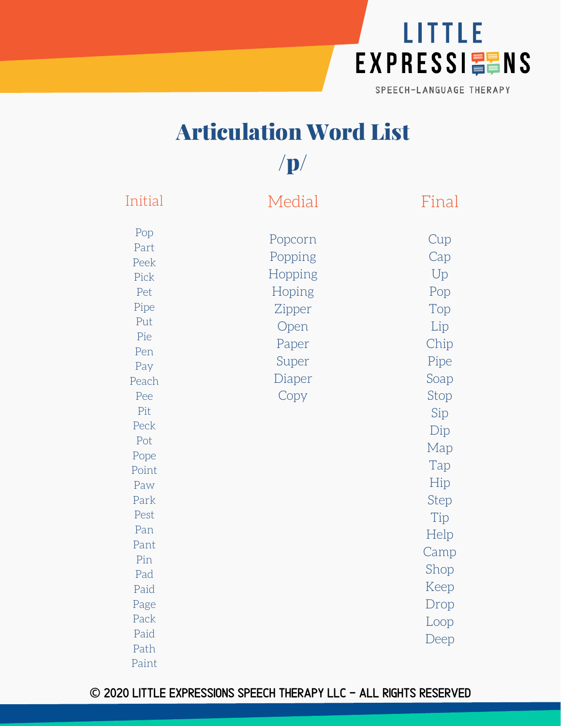

## Articulation Word List

 $/p/$ 

| Initial                                                                                                                                                                                                           | Medial                                                                                        | Final                                                                                                                                                                           |
|-------------------------------------------------------------------------------------------------------------------------------------------------------------------------------------------------------------------|-----------------------------------------------------------------------------------------------|---------------------------------------------------------------------------------------------------------------------------------------------------------------------------------|
| Pop<br>Part<br>Peek<br>Pick<br>Pet<br>Pipe<br>Put<br>Pie<br>Pen<br>Pay<br>Peach<br>Pee<br>Pit<br>Peck<br>Pot<br>Pope<br>Point<br>Paw<br>Park<br>Pest<br>Pan<br>Pant<br>Pin<br>Pad<br>Paid<br>Page<br>Pack<br>Paid | Popcorn<br>Popping<br>Hopping<br>Hoping<br>Zipper<br>Open<br>Paper<br>Super<br>Diaper<br>Copy | Cup<br>Cap<br>Up<br>Pop<br>Top<br>Lip<br>Chip<br>Pipe<br>Soap<br>Stop<br>Sip<br>Dip<br>Map<br>Tap<br>Hip<br>Step<br>Tip<br>Help<br>Camp<br>Shop<br>Keep<br>Drop<br>Loop<br>Deep |
| Path<br>Paint                                                                                                                                                                                                     |                                                                                               |                                                                                                                                                                                 |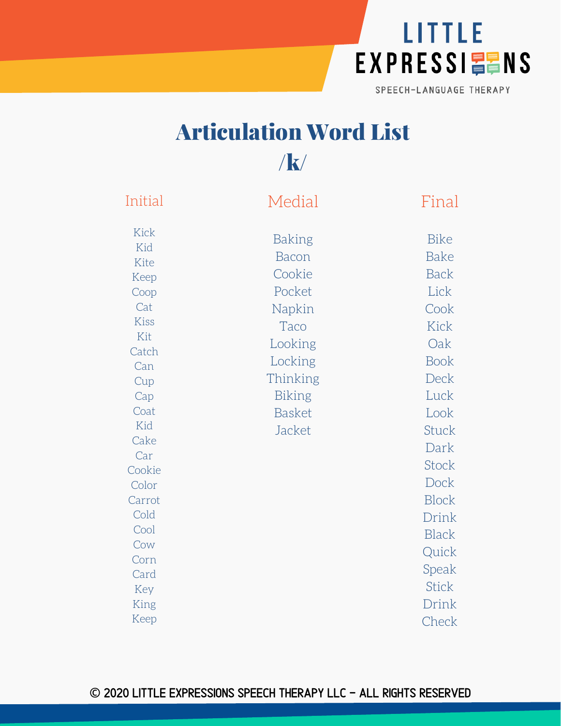

# Articulation Word List

/k/

| Initial                                                                                                                                         | Medial                                                                                                                                     | Final                                                                                                                                                           |
|-------------------------------------------------------------------------------------------------------------------------------------------------|--------------------------------------------------------------------------------------------------------------------------------------------|-----------------------------------------------------------------------------------------------------------------------------------------------------------------|
| <b>Kick</b><br>Kid<br>Kite<br>Keep<br>Coop<br>Cat<br>Kiss<br>Kit<br>Catch<br>Can<br>Cup<br>Cap<br>Coat<br>Kid<br>Cake<br>Car<br>Cookie<br>Color | Baking<br><b>Bacon</b><br>Cookie<br>Pocket<br>Napkin<br>Taco<br>Looking<br>Locking<br>Thinking<br><b>Biking</b><br><b>Basket</b><br>Jacket | <b>Bike</b><br><b>Bake</b><br><b>Back</b><br>Lick<br>Cook<br>Kick<br>Oak<br><b>Book</b><br>Deck<br>Luck<br>Look<br><b>Stuck</b><br>Dark<br><b>Stock</b><br>Dock |
| Carrot<br>Cold                                                                                                                                  |                                                                                                                                            | <b>Block</b><br>Drink                                                                                                                                           |
| Cool<br>Cow                                                                                                                                     |                                                                                                                                            | <b>Black</b><br>Quick                                                                                                                                           |
| Corn<br>Card<br>Key                                                                                                                             |                                                                                                                                            | Speak<br><b>Stick</b>                                                                                                                                           |
| King<br>Keep                                                                                                                                    |                                                                                                                                            | Drink<br>Check                                                                                                                                                  |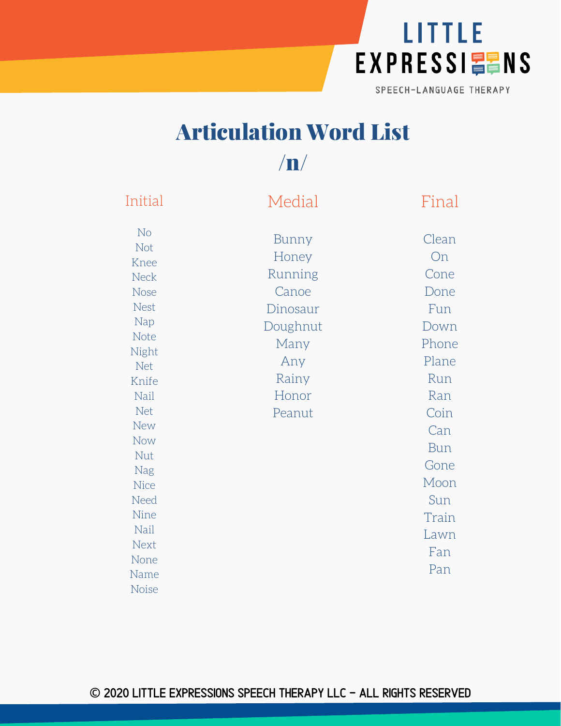

## Articulation Word List

### $/\mathbf{n}/$

| Initial                                                                                                                                                                                        | Medial                                                                                                | Final                                                                                                                            |
|------------------------------------------------------------------------------------------------------------------------------------------------------------------------------------------------|-------------------------------------------------------------------------------------------------------|----------------------------------------------------------------------------------------------------------------------------------|
| No<br>Not<br>Knee<br><b>Neck</b><br><b>Nose</b><br><b>Nest</b><br>Nap<br>Note<br>Night<br><b>Net</b><br>Knife<br>Nail<br>Net<br><b>New</b><br>Now<br>Nut<br>Nag<br><b>Nice</b><br>Need<br>Nine | Bunny<br>Honey<br>Running<br>Canoe<br>Dinosaur<br>Doughnut<br>Many<br>Any<br>Rainy<br>Honor<br>Peanut | Clean<br>On<br>Cone<br>Done<br>Fun<br>Down<br>Phone<br>Plane<br>Run<br>Ran<br>Coin<br>Can<br>Bun<br>Gone<br>Moon<br>Sun<br>Train |
|                                                                                                                                                                                                |                                                                                                       |                                                                                                                                  |
| Nail<br>Next                                                                                                                                                                                   |                                                                                                       | Lawn<br>Fan                                                                                                                      |
| None<br>Name<br><b>Noise</b>                                                                                                                                                                   |                                                                                                       | Pan                                                                                                                              |